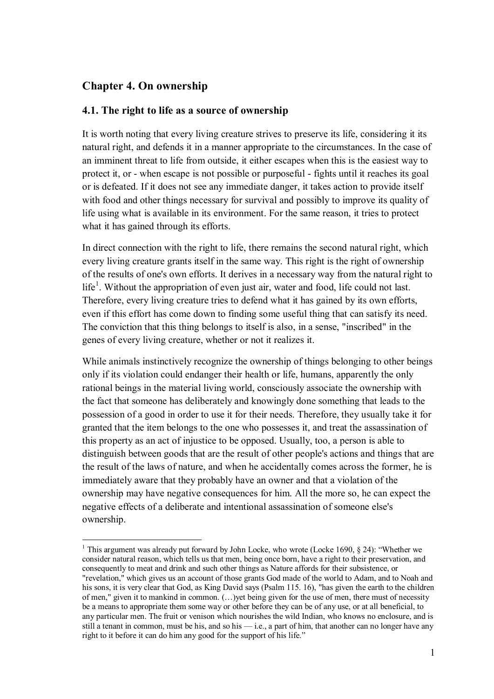## **Chapter 4. On ownership**

 $\overline{a}$ 

## **4.1. The right to life as a source of ownership**

It is worth noting that every living creature strives to preserve its life, considering it its natural right, and defends it in a manner appropriate to the circumstances. In the case of an imminent threat to life from outside, it either escapes when this is the easiest way to protect it, or - when escape is not possible or purposeful - fights until it reaches its goal or is defeated. If it does not see any immediate danger, it takes action to provide itself with food and other things necessary for survival and possibly to improve its quality of life using what is available in its environment. For the same reason, it tries to protect what it has gained through its efforts.

In direct connection with the right to life, there remains the second natural right, which every living creature grants itself in the same way. This right is the right of ownership of the results of one's own efforts. It derives in a necessary way from the natural right to  $l$ ife<sup>1</sup>. Without the appropriation of even just air, water and food, life could not last. Therefore, every living creature tries to defend what it has gained by its own efforts, even if this effort has come down to finding some useful thing that can satisfy its need. The conviction that this thing belongs to itself is also, in a sense, "inscribed" in the genes of every living creature, whether or not it realizes it.

While animals instinctively recognize the ownership of things belonging to other beings only if its violation could endanger their health or life, humans, apparently the only rational beings in the material living world, consciously associate the ownership with the fact that someone has deliberately and knowingly done something that leads to the possession of a good in order to use it for their needs. Therefore, they usually take it for granted that the item belongs to the one who possesses it, and treat the assassination of this property as an act of injustice to be opposed. Usually, too, a person is able to distinguish between goods that are the result of other people's actions and things that are the result of the laws of nature, and when he accidentally comes across the former, he is immediately aware that they probably have an owner and that a violation of the ownership may have negative consequences for him. All the more so, he can expect the negative effects of a deliberate and intentional assassination of someone else's ownership.

<sup>&</sup>lt;sup>1</sup> This argument was already put forward by John Locke, who wrote (Locke 1690, § 24): "Whether we consider natural reason, which tells us that men, being once born, have a right to their preservation, and consequently to meat and drink and such other things as Nature affords for their subsistence, or "revelation," which gives us an account of those grants God made of the world to Adam, and to Noah and his sons, it is very clear that God, as King David says (Psalm 115. 16), "has given the earth to the children of men," given it to mankind in common. (…)yet being given for the use of men, there must of necessity be a means to appropriate them some way or other before they can be of any use, or at all beneficial, to any particular men. The fruit or venison which nourishes the wild Indian, who knows no enclosure, and is still a tenant in common, must be his, and so his — i.e., a part of him, that another can no longer have any right to it before it can do him any good for the support of his life."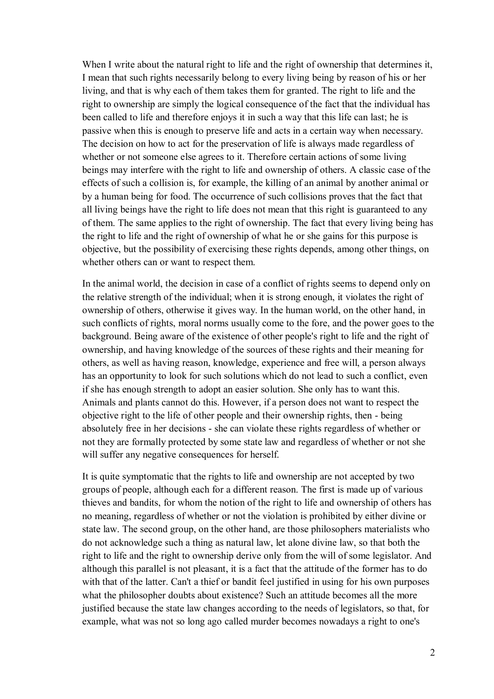When I write about the natural right to life and the right of ownership that determines it, I mean that such rights necessarily belong to every living being by reason of his or her living, and that is why each of them takes them for granted. The right to life and the right to ownership are simply the logical consequence of the fact that the individual has been called to life and therefore enjoys it in such a way that this life can last; he is passive when this is enough to preserve life and acts in a certain way when necessary. The decision on how to act for the preservation of life is always made regardless of whether or not someone else agrees to it. Therefore certain actions of some living beings may interfere with the right to life and ownership of others. A classic case of the effects of such a collision is, for example, the killing of an animal by another animal or by a human being for food. The occurrence of such collisions proves that the fact that all living beings have the right to life does not mean that this right is guaranteed to any of them. The same applies to the right of ownership. The fact that every living being has the right to life and the right of ownership of what he or she gains for this purpose is objective, but the possibility of exercising these rights depends, among other things, on whether others can or want to respect them.

In the animal world, the decision in case of a conflict of rights seems to depend only on the relative strength of the individual; when it is strong enough, it violates the right of ownership of others, otherwise it gives way. In the human world, on the other hand, in such conflicts of rights, moral norms usually come to the fore, and the power goes to the background. Being aware of the existence of other people's right to life and the right of ownership, and having knowledge of the sources of these rights and their meaning for others, as well as having reason, knowledge, experience and free will, a person always has an opportunity to look for such solutions which do not lead to such a conflict, even if she has enough strength to adopt an easier solution. She only has to want this. Animals and plants cannot do this. However, if a person does not want to respect the objective right to the life of other people and their ownership rights, then - being absolutely free in her decisions - she can violate these rights regardless of whether or not they are formally protected by some state law and regardless of whether or not she will suffer any negative consequences for herself.

It is quite symptomatic that the rights to life and ownership are not accepted by two groups of people, although each for a different reason. The first is made up of various thieves and bandits, for whom the notion of the right to life and ownership of others has no meaning, regardless of whether or not the violation is prohibited by either divine or state law. The second group, on the other hand, are those philosophers materialists who do not acknowledge such a thing as natural law, let alone divine law, so that both the right to life and the right to ownership derive only from the will of some legislator. And although this parallel is not pleasant, it is a fact that the attitude of the former has to do with that of the latter. Can't a thief or bandit feel justified in using for his own purposes what the philosopher doubts about existence? Such an attitude becomes all the more justified because the state law changes according to the needs of legislators, so that, for example, what was not so long ago called murder becomes nowadays a right to one's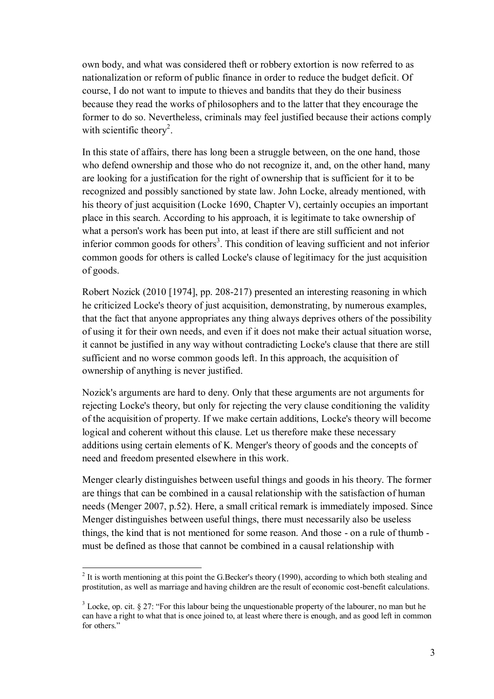own body, and what was considered theft or robbery extortion is now referred to as nationalization or reform of public finance in order to reduce the budget deficit. Of course, I do not want to impute to thieves and bandits that they do their business because they read the works of philosophers and to the latter that they encourage the former to do so. Nevertheless, criminals may feel justified because their actions comply with scientific theory<sup>2</sup>.

In this state of affairs, there has long been a struggle between, on the one hand, those who defend ownership and those who do not recognize it, and, on the other hand, many are looking for a justification for the right of ownership that is sufficient for it to be recognized and possibly sanctioned by state law. John Locke, already mentioned, with his theory of just acquisition (Locke 1690, Chapter V), certainly occupies an important place in this search. According to his approach, it is legitimate to take ownership of what a person's work has been put into, at least if there are still sufficient and not inferior common goods for others<sup>3</sup>. This condition of leaving sufficient and not inferior common goods for others is called Locke's clause of legitimacy for the just acquisition of goods.

Robert Nozick (2010 [1974], pp. 208-217) presented an interesting reasoning in which he criticized Locke's theory of just acquisition, demonstrating, by numerous examples, that the fact that anyone appropriates any thing always deprives others of the possibility of using it for their own needs, and even if it does not make their actual situation worse, it cannot be justified in any way without contradicting Locke's clause that there are still sufficient and no worse common goods left. In this approach, the acquisition of ownership of anything is never justified.

Nozick's arguments are hard to deny. Only that these arguments are not arguments for rejecting Locke's theory, but only for rejecting the very clause conditioning the validity of the acquisition of property. If we make certain additions, Locke's theory will become logical and coherent without this clause. Let us therefore make these necessary additions using certain elements of K. Menger's theory of goods and the concepts of need and freedom presented elsewhere in this work.

Menger clearly distinguishes between useful things and goods in his theory. The former are things that can be combined in a causal relationship with the satisfaction of human needs (Menger 2007, p.52). Here, a small critical remark is immediately imposed. Since Menger distinguishes between useful things, there must necessarily also be useless things, the kind that is not mentioned for some reason. And those - on a rule of thumb must be defined as those that cannot be combined in a causal relationship with

 $\overline{a}$ <sup>2</sup> It is worth mentioning at this point the G.Becker's theory (1990), according to which both stealing and prostitution, as well as marriage and having children are the result of economic cost-benefit calculations.

 $3$  Locke, op. cit. § 27: "For this labour being the unquestionable property of the labourer, no man but he can have a right to what that is once joined to, at least where there is enough, and as good left in common for others."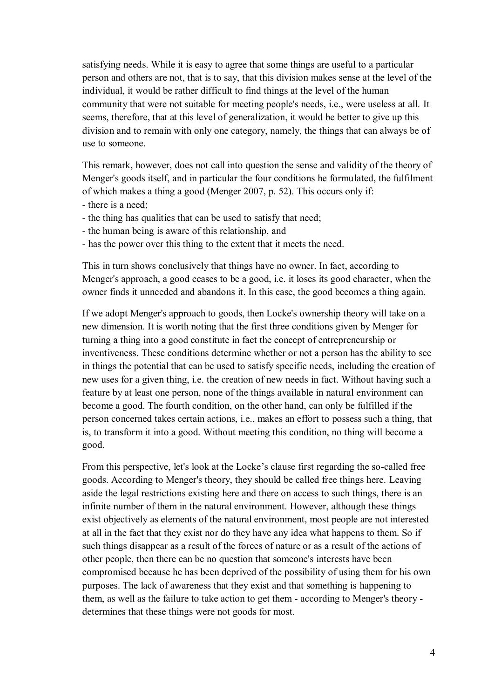satisfying needs. While it is easy to agree that some things are useful to a particular person and others are not, that is to say, that this division makes sense at the level of the individual, it would be rather difficult to find things at the level of the human community that were not suitable for meeting people's needs, i.e., were useless at all. It seems, therefore, that at this level of generalization, it would be better to give up this division and to remain with only one category, namely, the things that can always be of use to someone.

This remark, however, does not call into question the sense and validity of the theory of Menger's goods itself, and in particular the four conditions he formulated, the fulfilment of which makes a thing a good (Menger 2007, p. 52). This occurs only if:

- there is a need;
- the thing has qualities that can be used to satisfy that need;
- the human being is aware of this relationship, and
- has the power over this thing to the extent that it meets the need.

This in turn shows conclusively that things have no owner. In fact, according to Menger's approach, a good ceases to be a good, i.e. it loses its good character, when the owner finds it unneeded and abandons it. In this case, the good becomes a thing again.

If we adopt Menger's approach to goods, then Locke's ownership theory will take on a new dimension. It is worth noting that the first three conditions given by Menger for turning a thing into a good constitute in fact the concept of entrepreneurship or inventiveness. These conditions determine whether or not a person has the ability to see in things the potential that can be used to satisfy specific needs, including the creation of new uses for a given thing, i.e. the creation of new needs in fact. Without having such a feature by at least one person, none of the things available in natural environment can become a good. The fourth condition, on the other hand, can only be fulfilled if the person concerned takes certain actions, i.e., makes an effort to possess such a thing, that is, to transform it into a good. Without meeting this condition, no thing will become a good.

From this perspective, let's look at the Locke's clause first regarding the so-called free goods. According to Menger's theory, they should be called free things here. Leaving aside the legal restrictions existing here and there on access to such things, there is an infinite number of them in the natural environment. However, although these things exist objectively as elements of the natural environment, most people are not interested at all in the fact that they exist nor do they have any idea what happens to them. So if such things disappear as a result of the forces of nature or as a result of the actions of other people, then there can be no question that someone's interests have been compromised because he has been deprived of the possibility of using them for his own purposes. The lack of awareness that they exist and that something is happening to them, as well as the failure to take action to get them - according to Menger's theory determines that these things were not goods for most.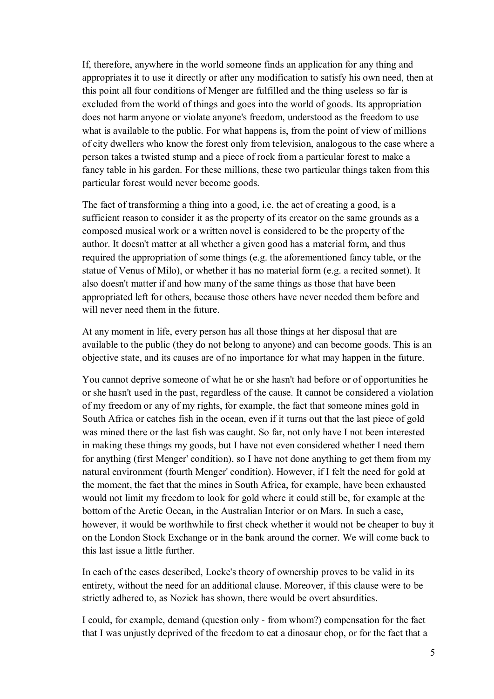If, therefore, anywhere in the world someone finds an application for any thing and appropriates it to use it directly or after any modification to satisfy his own need, then at this point all four conditions of Menger are fulfilled and the thing useless so far is excluded from the world of things and goes into the world of goods. Its appropriation does not harm anyone or violate anyone's freedom, understood as the freedom to use what is available to the public. For what happens is, from the point of view of millions of city dwellers who know the forest only from television, analogous to the case where a person takes a twisted stump and a piece of rock from a particular forest to make a fancy table in his garden. For these millions, these two particular things taken from this particular forest would never become goods.

The fact of transforming a thing into a good, i.e. the act of creating a good, is a sufficient reason to consider it as the property of its creator on the same grounds as a composed musical work or a written novel is considered to be the property of the author. It doesn't matter at all whether a given good has a material form, and thus required the appropriation of some things (e.g. the aforementioned fancy table, or the statue of Venus of Milo), or whether it has no material form (e.g. a recited sonnet). It also doesn't matter if and how many of the same things as those that have been appropriated left for others, because those others have never needed them before and will never need them in the future.

At any moment in life, every person has all those things at her disposal that are available to the public (they do not belong to anyone) and can become goods. This is an objective state, and its causes are of no importance for what may happen in the future.

You cannot deprive someone of what he or she hasn't had before or of opportunities he or she hasn't used in the past, regardless of the cause. It cannot be considered a violation of my freedom or any of my rights, for example, the fact that someone mines gold in South Africa or catches fish in the ocean, even if it turns out that the last piece of gold was mined there or the last fish was caught. So far, not only have I not been interested in making these things my goods, but I have not even considered whether I need them for anything (first Menger' condition), so I have not done anything to get them from my natural environment (fourth Menger' condition). However, if I felt the need for gold at the moment, the fact that the mines in South Africa, for example, have been exhausted would not limit my freedom to look for gold where it could still be, for example at the bottom of the Arctic Ocean, in the Australian Interior or on Mars. In such a case, however, it would be worthwhile to first check whether it would not be cheaper to buy it on the London Stock Exchange or in the bank around the corner. We will come back to this last issue a little further.

In each of the cases described, Locke's theory of ownership proves to be valid in its entirety, without the need for an additional clause. Moreover, if this clause were to be strictly adhered to, as Nozick has shown, there would be overt absurdities.

I could, for example, demand (question only - from whom?) compensation for the fact that I was unjustly deprived of the freedom to eat a dinosaur chop, or for the fact that a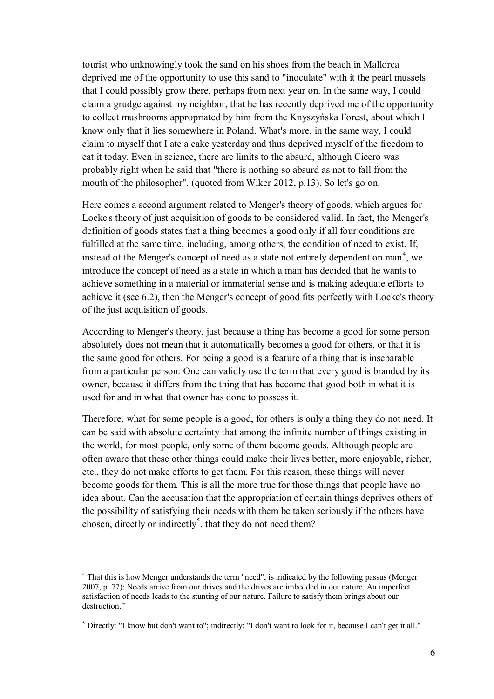tourist who unknowingly took the sand on his shoes from the beach in Mallorca deprived me of the opportunity to use this sand to "inoculate" with it the pearl mussels that I could possibly grow there, perhaps from next year on. In the same way, I could claim a grudge against my neighbor, that he has recently deprived me of the opportunity to collect mushrooms appropriated by him from the Knyszyńska Forest, about which I know only that it lies somewhere in Poland. What's more, in the same way, I could claim to myself that I ate a cake yesterday and thus deprived myself of the freedom to eat it today. Even in science, there are limits to the absurd, although Cicero was probably right when he said that "there is nothing so absurd as not to fall from the mouth of the philosopher". (quoted from Wiker 2012, p.13). So let's go on.

Here comes a second argument related to Menger's theory of goods, which argues for Locke's theory of just acquisition of goods to be considered valid. In fact, the Menger's definition of goods states that a thing becomes a good only if all four conditions are fulfilled at the same time, including, among others, the condition of need to exist. If, instead of the Menger's concept of need as a state not entirely dependent on man<sup>4</sup>, we introduce the concept of need as a state in which a man has decided that he wants to achieve something in a material or immaterial sense and is making adequate efforts to achieve it (see 6.2), then the Menger's concept of good fits perfectly with Locke's theory of the just acquisition of goods.

According to Menger's theory, just because a thing has become a good for some person absolutely does not mean that it automatically becomes a good for others, or that it is the same good for others. For being a good is a feature of a thing that is inseparable from a particular person. One can validly use the term that every good is branded by its owner, because it differs from the thing that has become that good both in what it is used for and in what that owner has done to possess it.

Therefore, what for some people is a good, for others is only a thing they do not need. It can be said with absolute certainty that among the infinite number of things existing in the world, for most people, only some of them become goods. Although people are often aware that these other things could make their lives better, more enjoyable, richer, etc., they do not make efforts to get them. For this reason, these things will never become goods for them. This is all the more true for those things that people have no idea about. Can the accusation that the appropriation of certain things deprives others of the possibility of satisfying their needs with them be taken seriously if the others have chosen, directly or indirectly<sup>5</sup>, that they do not need them?

<sup>4</sup> That this is how Menger understands the term "need", is indicated by the following passus (Menger 2007, p. 77): Needs arrive from our drives and the drives are imbedded in our nature. An imperfect satisfaction of needs leads to the stunting of our nature. Failure to satisfy them brings about our destruction."

<sup>5</sup> Directly: "I know but don't want to"; indirectly: "I don't want to look for it, because I can't get it all."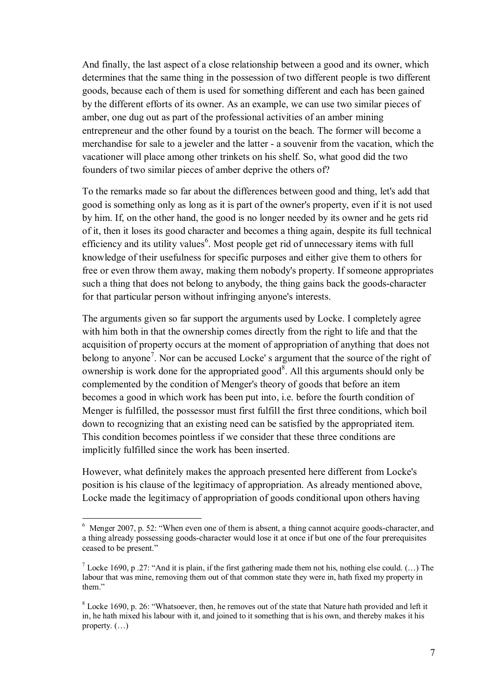And finally, the last aspect of a close relationship between a good and its owner, which determines that the same thing in the possession of two different people is two different goods, because each of them is used for something different and each has been gained by the different efforts of its owner. As an example, we can use two similar pieces of amber, one dug out as part of the professional activities of an amber mining entrepreneur and the other found by a tourist on the beach. The former will become a merchandise for sale to a jeweler and the latter - a souvenir from the vacation, which the vacationer will place among other trinkets on his shelf. So, what good did the two founders of two similar pieces of amber deprive the others of?

To the remarks made so far about the differences between good and thing, let's add that good is something only as long as it is part of the owner's property, even if it is not used by him. If, on the other hand, the good is no longer needed by its owner and he gets rid of it, then it loses its good character and becomes a thing again, despite its full technical efficiency and its utility values<sup>6</sup>. Most people get rid of unnecessary items with full knowledge of their usefulness for specific purposes and either give them to others for free or even throw them away, making them nobody's property. If someone appropriates such a thing that does not belong to anybody, the thing gains back the goods-character for that particular person without infringing anyone's interests.

The arguments given so far support the arguments used by Locke. I completely agree with him both in that the ownership comes directly from the right to life and that the acquisition of property occurs at the moment of appropriation of anything that does not belong to anyone<sup>7</sup>. Nor can be accused Locke' s argument that the source of the right of ownership is work done for the appropriated good<sup>8</sup>. All this arguments should only be complemented by the condition of Menger's theory of goods that before an item becomes a good in which work has been put into, i.e. before the fourth condition of Menger is fulfilled, the possessor must first fulfill the first three conditions, which boil down to recognizing that an existing need can be satisfied by the appropriated item. This condition becomes pointless if we consider that these three conditions are implicitly fulfilled since the work has been inserted.

However, what definitely makes the approach presented here different from Locke's position is his clause of the legitimacy of appropriation. As already mentioned above, Locke made the legitimacy of appropriation of goods conditional upon others having

<sup>6</sup> Menger 2007, p. 52: "When even one of them is absent, a thing cannot acquire goods-character, and a thing already possessing goods-character would lose it at once if but one of the four prerequisites ceased to be present."

<sup>&</sup>lt;sup>7</sup> Locke 1690, p .27: "And it is plain, if the first gathering made them not his, nothing else could.  $(...)$  The labour that was mine, removing them out of that common state they were in, hath fixed my property in them."

 $8$  Locke 1690, p. 26: "Whatsoever, then, he removes out of the state that Nature hath provided and left it in, he hath mixed his labour with it, and joined to it something that is his own, and thereby makes it his property. (…)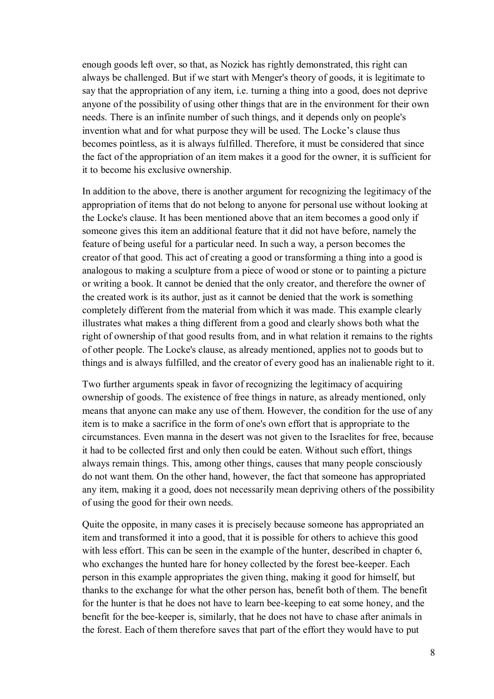enough goods left over, so that, as Nozick has rightly demonstrated, this right can always be challenged. But if we start with Menger's theory of goods, it is legitimate to say that the appropriation of any item, i.e. turning a thing into a good, does not deprive anyone of the possibility of using other things that are in the environment for their own needs. There is an infinite number of such things, and it depends only on people's invention what and for what purpose they will be used. The Locke's clause thus becomes pointless, as it is always fulfilled. Therefore, it must be considered that since the fact of the appropriation of an item makes it a good for the owner, it is sufficient for it to become his exclusive ownership.

In addition to the above, there is another argument for recognizing the legitimacy of the appropriation of items that do not belong to anyone for personal use without looking at the Locke's clause. It has been mentioned above that an item becomes a good only if someone gives this item an additional feature that it did not have before, namely the feature of being useful for a particular need. In such a way, a person becomes the creator of that good. This act of creating a good or transforming a thing into a good is analogous to making a sculpture from a piece of wood or stone or to painting a picture or writing a book. It cannot be denied that the only creator, and therefore the owner of the created work is its author, just as it cannot be denied that the work is something completely different from the material from which it was made. This example clearly illustrates what makes a thing different from a good and clearly shows both what the right of ownership of that good results from, and in what relation it remains to the rights of other people. The Locke's clause, as already mentioned, applies not to goods but to things and is always fulfilled, and the creator of every good has an inalienable right to it.

Two further arguments speak in favor of recognizing the legitimacy of acquiring ownership of goods. The existence of free things in nature, as already mentioned, only means that anyone can make any use of them. However, the condition for the use of any item is to make a sacrifice in the form of one's own effort that is appropriate to the circumstances. Even manna in the desert was not given to the Israelites for free, because it had to be collected first and only then could be eaten. Without such effort, things always remain things. This, among other things, causes that many people consciously do not want them. On the other hand, however, the fact that someone has appropriated any item, making it a good, does not necessarily mean depriving others of the possibility of using the good for their own needs.

Quite the opposite, in many cases it is precisely because someone has appropriated an item and transformed it into a good, that it is possible for others to achieve this good with less effort. This can be seen in the example of the hunter, described in chapter 6, who exchanges the hunted hare for honey collected by the forest bee-keeper. Each person in this example appropriates the given thing, making it good for himself, but thanks to the exchange for what the other person has, benefit both of them. The benefit for the hunter is that he does not have to learn bee-keeping to eat some honey, and the benefit for the bee-keeper is, similarly, that he does not have to chase after animals in the forest. Each of them therefore saves that part of the effort they would have to put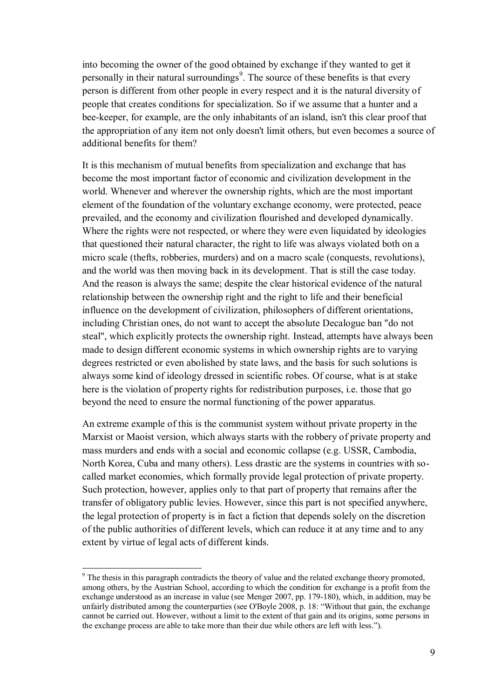into becoming the owner of the good obtained by exchange if they wanted to get it personally in their natural surroundings<sup>9</sup>. The source of these benefits is that every person is different from other people in every respect and it is the natural diversity of people that creates conditions for specialization. So if we assume that a hunter and a bee-keeper, for example, are the only inhabitants of an island, isn't this clear proof that the appropriation of any item not only doesn't limit others, but even becomes a source of additional benefits for them?

It is this mechanism of mutual benefits from specialization and exchange that has become the most important factor of economic and civilization development in the world. Whenever and wherever the ownership rights, which are the most important element of the foundation of the voluntary exchange economy, were protected, peace prevailed, and the economy and civilization flourished and developed dynamically. Where the rights were not respected, or where they were even liquidated by ideologies that questioned their natural character, the right to life was always violated both on a micro scale (thefts, robberies, murders) and on a macro scale (conquests, revolutions), and the world was then moving back in its development. That is still the case today. And the reason is always the same; despite the clear historical evidence of the natural relationship between the ownership right and the right to life and their beneficial influence on the development of civilization, philosophers of different orientations, including Christian ones, do not want to accept the absolute Decalogue ban "do not steal", which explicitly protects the ownership right. Instead, attempts have always been made to design different economic systems in which ownership rights are to varying degrees restricted or even abolished by state laws, and the basis for such solutions is always some kind of ideology dressed in scientific robes. Of course, what is at stake here is the violation of property rights for redistribution purposes, i.e. those that go beyond the need to ensure the normal functioning of the power apparatus.

An extreme example of this is the communist system without private property in the Marxist or Maoist version, which always starts with the robbery of private property and mass murders and ends with a social and economic collapse (e.g. USSR, Cambodia, North Korea, Cuba and many others). Less drastic are the systems in countries with socalled market economies, which formally provide legal protection of private property. Such protection, however, applies only to that part of property that remains after the transfer of obligatory public levies. However, since this part is not specified anywhere, the legal protection of property is in fact a fiction that depends solely on the discretion of the public authorities of different levels, which can reduce it at any time and to any extent by virtue of legal acts of different kinds.

<sup>&</sup>lt;sup>9</sup> The thesis in this paragraph contradicts the theory of value and the related exchange theory promoted, among others, by the Austrian School, according to which the condition for exchange is a profit from the exchange understood as an increase in value (see Menger 2007, pp. 179-180), which, in addition, may be unfairly distributed among the counterparties (see O'Boyle 2008, p. 18: "Without that gain, the exchange cannot be carried out. However, without a limit to the extent of that gain and its origins, some persons in the exchange process are able to take more than their due while others are left with less.").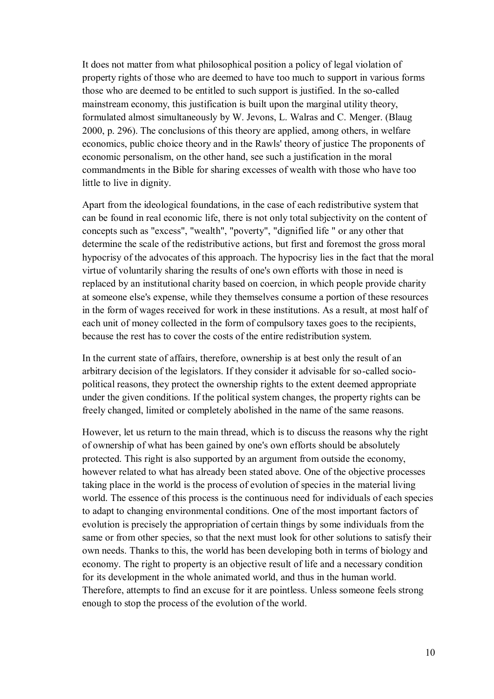It does not matter from what philosophical position a policy of legal violation of property rights of those who are deemed to have too much to support in various forms those who are deemed to be entitled to such support is justified. In the so-called mainstream economy, this justification is built upon the marginal utility theory, formulated almost simultaneously by W. Jevons, L. Walras and C. Menger. (Blaug 2000, p. 296). The conclusions of this theory are applied, among others, in welfare economics, public choice theory and in the Rawls' theory of justice The proponents of economic personalism, on the other hand, see such a justification in the moral commandments in the Bible for sharing excesses of wealth with those who have too little to live in dignity.

Apart from the ideological foundations, in the case of each redistributive system that can be found in real economic life, there is not only total subjectivity on the content of concepts such as "excess", "wealth", "poverty", "dignified life " or any other that determine the scale of the redistributive actions, but first and foremost the gross moral hypocrisy of the advocates of this approach. The hypocrisy lies in the fact that the moral virtue of voluntarily sharing the results of one's own efforts with those in need is replaced by an institutional charity based on coercion, in which people provide charity at someone else's expense, while they themselves consume a portion of these resources in the form of wages received for work in these institutions. As a result, at most half of each unit of money collected in the form of compulsory taxes goes to the recipients, because the rest has to cover the costs of the entire redistribution system.

In the current state of affairs, therefore, ownership is at best only the result of an arbitrary decision of the legislators. If they consider it advisable for so-called sociopolitical reasons, they protect the ownership rights to the extent deemed appropriate under the given conditions. If the political system changes, the property rights can be freely changed, limited or completely abolished in the name of the same reasons.

However, let us return to the main thread, which is to discuss the reasons why the right of ownership of what has been gained by one's own efforts should be absolutely protected. This right is also supported by an argument from outside the economy, however related to what has already been stated above. One of the objective processes taking place in the world is the process of evolution of species in the material living world. The essence of this process is the continuous need for individuals of each species to adapt to changing environmental conditions. One of the most important factors of evolution is precisely the appropriation of certain things by some individuals from the same or from other species, so that the next must look for other solutions to satisfy their own needs. Thanks to this, the world has been developing both in terms of biology and economy. The right to property is an objective result of life and a necessary condition for its development in the whole animated world, and thus in the human world. Therefore, attempts to find an excuse for it are pointless. Unless someone feels strong enough to stop the process of the evolution of the world.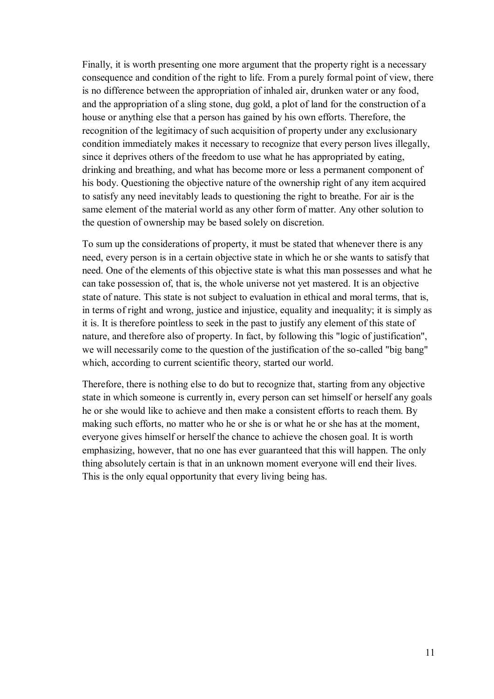Finally, it is worth presenting one more argument that the property right is a necessary consequence and condition of the right to life. From a purely formal point of view, there is no difference between the appropriation of inhaled air, drunken water or any food, and the appropriation of a sling stone, dug gold, a plot of land for the construction of a house or anything else that a person has gained by his own efforts. Therefore, the recognition of the legitimacy of such acquisition of property under any exclusionary condition immediately makes it necessary to recognize that every person lives illegally, since it deprives others of the freedom to use what he has appropriated by eating, drinking and breathing, and what has become more or less a permanent component of his body. Questioning the objective nature of the ownership right of any item acquired to satisfy any need inevitably leads to questioning the right to breathe. For air is the same element of the material world as any other form of matter. Any other solution to the question of ownership may be based solely on discretion.

To sum up the considerations of property, it must be stated that whenever there is any need, every person is in a certain objective state in which he or she wants to satisfy that need. One of the elements of this objective state is what this man possesses and what he can take possession of, that is, the whole universe not yet mastered. It is an objective state of nature. This state is not subject to evaluation in ethical and moral terms, that is, in terms of right and wrong, justice and injustice, equality and inequality; it is simply as it is. It is therefore pointless to seek in the past to justify any element of this state of nature, and therefore also of property. In fact, by following this "logic of justification", we will necessarily come to the question of the justification of the so-called "big bang" which, according to current scientific theory, started our world.

Therefore, there is nothing else to do but to recognize that, starting from any objective state in which someone is currently in, every person can set himself or herself any goals he or she would like to achieve and then make a consistent efforts to reach them. By making such efforts, no matter who he or she is or what he or she has at the moment, everyone gives himself or herself the chance to achieve the chosen goal. It is worth emphasizing, however, that no one has ever guaranteed that this will happen. The only thing absolutely certain is that in an unknown moment everyone will end their lives. This is the only equal opportunity that every living being has.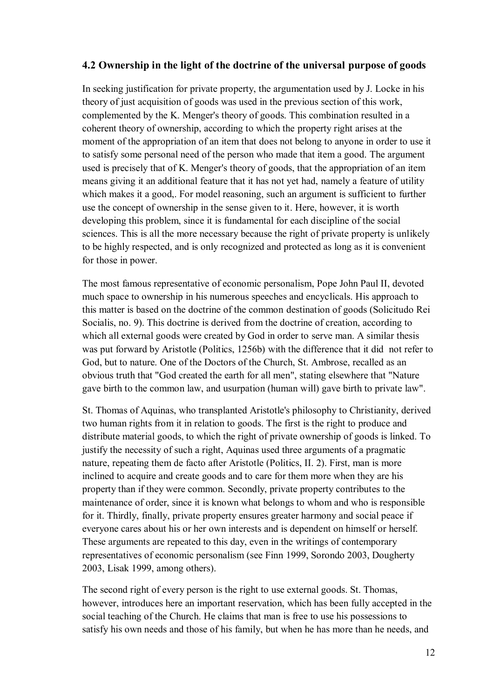## **4.2 Ownership in the light of the doctrine of the universal purpose of goods**

In seeking justification for private property, the argumentation used by J. Locke in his theory of just acquisition of goods was used in the previous section of this work, complemented by the K. Menger's theory of goods. This combination resulted in a coherent theory of ownership, according to which the property right arises at the moment of the appropriation of an item that does not belong to anyone in order to use it to satisfy some personal need of the person who made that item a good. The argument used is precisely that of K. Menger's theory of goods, that the appropriation of an item means giving it an additional feature that it has not yet had, namely a feature of utility which makes it a good,. For model reasoning, such an argument is sufficient to further use the concept of ownership in the sense given to it. Here, however, it is worth developing this problem, since it is fundamental for each discipline of the social sciences. This is all the more necessary because the right of private property is unlikely to be highly respected, and is only recognized and protected as long as it is convenient for those in power.

The most famous representative of economic personalism, Pope John Paul II, devoted much space to ownership in his numerous speeches and encyclicals. His approach to this matter is based on the doctrine of the common destination of goods (Solicitudo Rei Socialis, no. 9). This doctrine is derived from the doctrine of creation, according to which all external goods were created by God in order to serve man. A similar thesis was put forward by Aristotle (Politics, 1256b) with the difference that it did not refer to God, but to nature. One of the Doctors of the Church, St. Ambrose, recalled as an obvious truth that "God created the earth for all men", stating elsewhere that "Nature gave birth to the common law, and usurpation (human will) gave birth to private law".

St. Thomas of Aquinas, who transplanted Aristotle's philosophy to Christianity, derived two human rights from it in relation to goods. The first is the right to produce and distribute material goods, to which the right of private ownership of goods is linked. To justify the necessity of such a right, Aquinas used three arguments of a pragmatic nature, repeating them de facto after Aristotle (Politics, II. 2). First, man is more inclined to acquire and create goods and to care for them more when they are his property than if they were common. Secondly, private property contributes to the maintenance of order, since it is known what belongs to whom and who is responsible for it. Thirdly, finally, private property ensures greater harmony and social peace if everyone cares about his or her own interests and is dependent on himself or herself. These arguments are repeated to this day, even in the writings of contemporary representatives of economic personalism (see Finn 1999, Sorondo 2003, Dougherty 2003, Lisak 1999, among others).

The second right of every person is the right to use external goods. St. Thomas, however, introduces here an important reservation, which has been fully accepted in the social teaching of the Church. He claims that man is free to use his possessions to satisfy his own needs and those of his family, but when he has more than he needs, and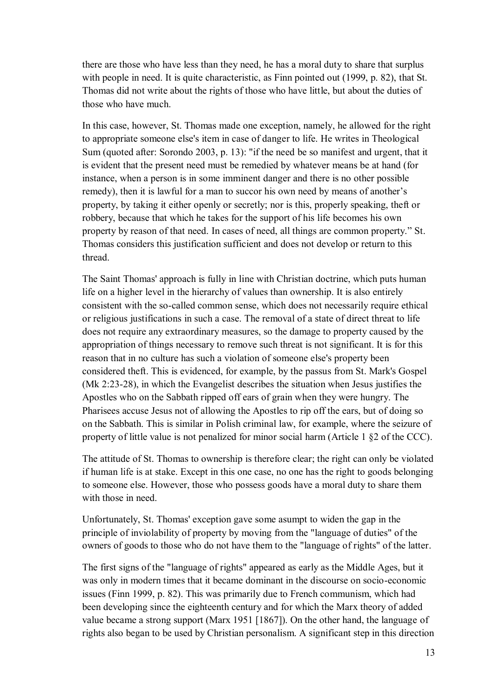there are those who have less than they need, he has a moral duty to share that surplus with people in need. It is quite characteristic, as Finn pointed out (1999, p. 82), that St. Thomas did not write about the rights of those who have little, but about the duties of those who have much.

In this case, however, St. Thomas made one exception, namely, he allowed for the right to appropriate someone else's item in case of danger to life. He writes in Theological Sum (quoted after: Sorondo 2003, p. 13): "if the need be so manifest and urgent, that it is evident that the present need must be remedied by whatever means be at hand (for instance, when a person is in some imminent danger and there is no other possible remedy), then it is lawful for a man to succor his own need by means of another's property, by taking it either openly or secretly; nor is this, properly speaking, theft or robbery, because that which he takes for the support of his life becomes his own property by reason of that need. In cases of need, all things are common property." St. Thomas considers this justification sufficient and does not develop or return to this thread.

The Saint Thomas' approach is fully in line with Christian doctrine, which puts human life on a higher level in the hierarchy of values than ownership. It is also entirely consistent with the so-called common sense, which does not necessarily require ethical or religious justifications in such a case. The removal of a state of direct threat to life does not require any extraordinary measures, so the damage to property caused by the appropriation of things necessary to remove such threat is not significant. It is for this reason that in no culture has such a violation of someone else's property been considered theft. This is evidenced, for example, by the passus from St. Mark's Gospel (Mk 2:23-28), in which the Evangelist describes the situation when Jesus justifies the Apostles who on the Sabbath ripped off ears of grain when they were hungry. The Pharisees accuse Jesus not of allowing the Apostles to rip off the ears, but of doing so on the Sabbath. This is similar in Polish criminal law, for example, where the seizure of property of little value is not penalized for minor social harm (Article 1 §2 of the CCC).

The attitude of St. Thomas to ownership is therefore clear; the right can only be violated if human life is at stake. Except in this one case, no one has the right to goods belonging to someone else. However, those who possess goods have a moral duty to share them with those in need.

Unfortunately, St. Thomas' exception gave some asumpt to widen the gap in the principle of inviolability of property by moving from the "language of duties" of the owners of goods to those who do not have them to the "language of rights" of the latter.

The first signs of the "language of rights" appeared as early as the Middle Ages, but it was only in modern times that it became dominant in the discourse on socio-economic issues (Finn 1999, p. 82). This was primarily due to French communism, which had been developing since the eighteenth century and for which the Marx theory of added value became a strong support (Marx 1951 [1867]). On the other hand, the language of rights also began to be used by Christian personalism. A significant step in this direction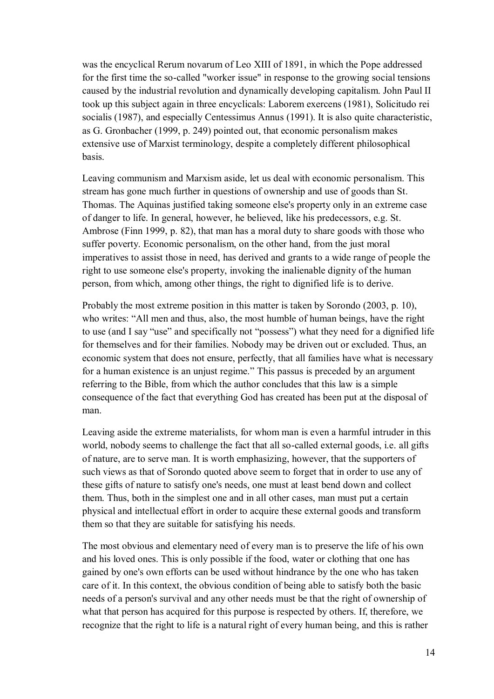was the encyclical Rerum novarum of Leo XIII of 1891, in which the Pope addressed for the first time the so-called "worker issue" in response to the growing social tensions caused by the industrial revolution and dynamically developing capitalism. John Paul II took up this subject again in three encyclicals: Laborem exercens (1981), Solicitudo rei socialis (1987), and especially Centessimus Annus (1991). It is also quite characteristic, as G. Gronbacher (1999, p. 249) pointed out, that economic personalism makes extensive use of Marxist terminology, despite a completely different philosophical basis.

Leaving communism and Marxism aside, let us deal with economic personalism. This stream has gone much further in questions of ownership and use of goods than St. Thomas. The Aquinas justified taking someone else's property only in an extreme case of danger to life. In general, however, he believed, like his predecessors, e.g. St. Ambrose (Finn 1999, p. 82), that man has a moral duty to share goods with those who suffer poverty. Economic personalism, on the other hand, from the just moral imperatives to assist those in need, has derived and grants to a wide range of people the right to use someone else's property, invoking the inalienable dignity of the human person, from which, among other things, the right to dignified life is to derive.

Probably the most extreme position in this matter is taken by Sorondo (2003, p. 10), who writes: "All men and thus, also, the most humble of human beings, have the right to use (and I say "use" and specifically not "possess") what they need for a dignified life for themselves and for their families. Nobody may be driven out or excluded. Thus, an economic system that does not ensure, perfectly, that all families have what is necessary for a human existence is an unjust regime." This passus is preceded by an argument referring to the Bible, from which the author concludes that this law is a simple consequence of the fact that everything God has created has been put at the disposal of man.

Leaving aside the extreme materialists, for whom man is even a harmful intruder in this world, nobody seems to challenge the fact that all so-called external goods, i.e. all gifts of nature, are to serve man. It is worth emphasizing, however, that the supporters of such views as that of Sorondo quoted above seem to forget that in order to use any of these gifts of nature to satisfy one's needs, one must at least bend down and collect them. Thus, both in the simplest one and in all other cases, man must put a certain physical and intellectual effort in order to acquire these external goods and transform them so that they are suitable for satisfying his needs.

The most obvious and elementary need of every man is to preserve the life of his own and his loved ones. This is only possible if the food, water or clothing that one has gained by one's own efforts can be used without hindrance by the one who has taken care of it. In this context, the obvious condition of being able to satisfy both the basic needs of a person's survival and any other needs must be that the right of ownership of what that person has acquired for this purpose is respected by others. If, therefore, we recognize that the right to life is a natural right of every human being, and this is rather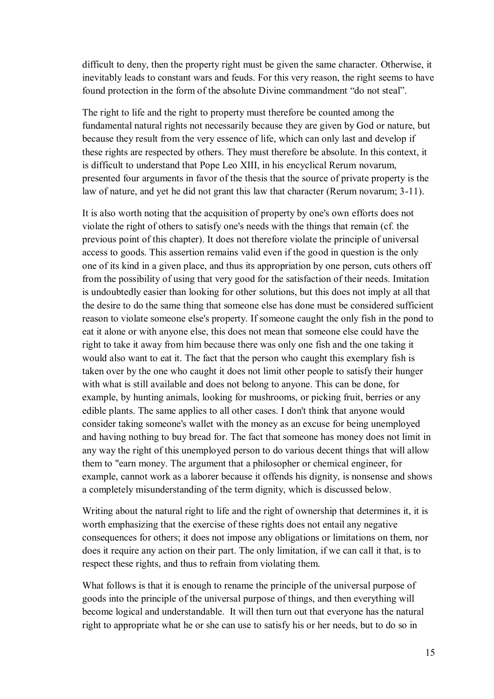difficult to deny, then the property right must be given the same character. Otherwise, it inevitably leads to constant wars and feuds. For this very reason, the right seems to have found protection in the form of the absolute Divine commandment "do not steal".

The right to life and the right to property must therefore be counted among the fundamental natural rights not necessarily because they are given by God or nature, but because they result from the very essence of life, which can only last and develop if these rights are respected by others. They must therefore be absolute. In this context, it is difficult to understand that Pope Leo XIII, in his encyclical Rerum novarum, presented four arguments in favor of the thesis that the source of private property is the law of nature, and yet he did not grant this law that character (Rerum novarum; 3-11).

It is also worth noting that the acquisition of property by one's own efforts does not violate the right of others to satisfy one's needs with the things that remain (cf. the previous point of this chapter). It does not therefore violate the principle of universal access to goods. This assertion remains valid even if the good in question is the only one of its kind in a given place, and thus its appropriation by one person, cuts others off from the possibility of using that very good for the satisfaction of their needs. Imitation is undoubtedly easier than looking for other solutions, but this does not imply at all that the desire to do the same thing that someone else has done must be considered sufficient reason to violate someone else's property. If someone caught the only fish in the pond to eat it alone or with anyone else, this does not mean that someone else could have the right to take it away from him because there was only one fish and the one taking it would also want to eat it. The fact that the person who caught this exemplary fish is taken over by the one who caught it does not limit other people to satisfy their hunger with what is still available and does not belong to anyone. This can be done, for example, by hunting animals, looking for mushrooms, or picking fruit, berries or any edible plants. The same applies to all other cases. I don't think that anyone would consider taking someone's wallet with the money as an excuse for being unemployed and having nothing to buy bread for. The fact that someone has money does not limit in any way the right of this unemployed person to do various decent things that will allow them to "earn money. The argument that a philosopher or chemical engineer, for example, cannot work as a laborer because it offends his dignity, is nonsense and shows a completely misunderstanding of the term dignity, which is discussed below.

Writing about the natural right to life and the right of ownership that determines it, it is worth emphasizing that the exercise of these rights does not entail any negative consequences for others; it does not impose any obligations or limitations on them, nor does it require any action on their part. The only limitation, if we can call it that, is to respect these rights, and thus to refrain from violating them.

What follows is that it is enough to rename the principle of the universal purpose of goods into the principle of the universal purpose of things, and then everything will become logical and understandable. It will then turn out that everyone has the natural right to appropriate what he or she can use to satisfy his or her needs, but to do so in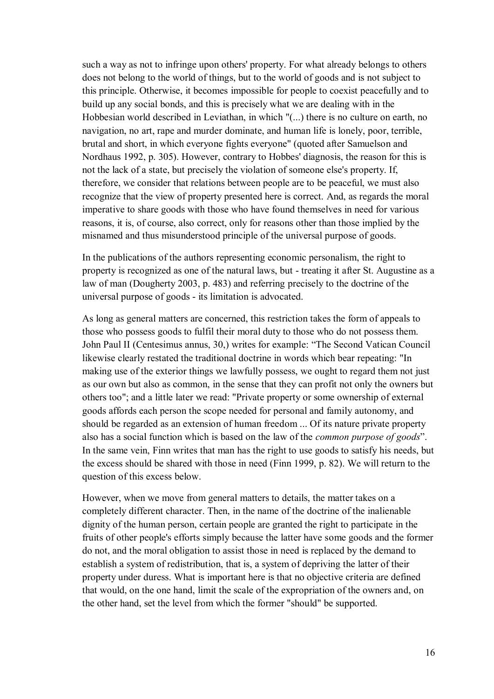such a way as not to infringe upon others' property. For what already belongs to others does not belong to the world of things, but to the world of goods and is not subject to this principle. Otherwise, it becomes impossible for people to coexist peacefully and to build up any social bonds, and this is precisely what we are dealing with in the Hobbesian world described in Leviathan, in which "(...) there is no culture on earth, no navigation, no art, rape and murder dominate, and human life is lonely, poor, terrible, brutal and short, in which everyone fights everyone" (quoted after Samuelson and Nordhaus 1992, p. 305). However, contrary to Hobbes' diagnosis, the reason for this is not the lack of a state, but precisely the violation of someone else's property. If, therefore, we consider that relations between people are to be peaceful, we must also recognize that the view of property presented here is correct. And, as regards the moral imperative to share goods with those who have found themselves in need for various reasons, it is, of course, also correct, only for reasons other than those implied by the misnamed and thus misunderstood principle of the universal purpose of goods.

In the publications of the authors representing economic personalism, the right to property is recognized as one of the natural laws, but - treating it after St. Augustine as a law of man (Dougherty 2003, p. 483) and referring precisely to the doctrine of the universal purpose of goods - its limitation is advocated.

As long as general matters are concerned, this restriction takes the form of appeals to those who possess goods to fulfil their moral duty to those who do not possess them. John Paul II (Centesimus annus, 30,) writes for example: "The Second Vatican Council likewise clearly restated the traditional doctrine in words which bear repeating: "In making use of the exterior things we lawfully possess, we ought to regard them not just as our own but also as common, in the sense that they can profit not only the owners but others too"; and a little later we read: "Private property or some ownership of external goods affords each person the scope needed for personal and family autonomy, and should be regarded as an extension of human freedom ... Of its nature private property also has a social function which is based on the law of the *common purpose of goods*". In the same vein, Finn writes that man has the right to use goods to satisfy his needs, but the excess should be shared with those in need (Finn 1999, p. 82). We will return to the question of this excess below.

However, when we move from general matters to details, the matter takes on a completely different character. Then, in the name of the doctrine of the inalienable dignity of the human person, certain people are granted the right to participate in the fruits of other people's efforts simply because the latter have some goods and the former do not, and the moral obligation to assist those in need is replaced by the demand to establish a system of redistribution, that is, a system of depriving the latter of their property under duress. What is important here is that no objective criteria are defined that would, on the one hand, limit the scale of the expropriation of the owners and, on the other hand, set the level from which the former "should" be supported.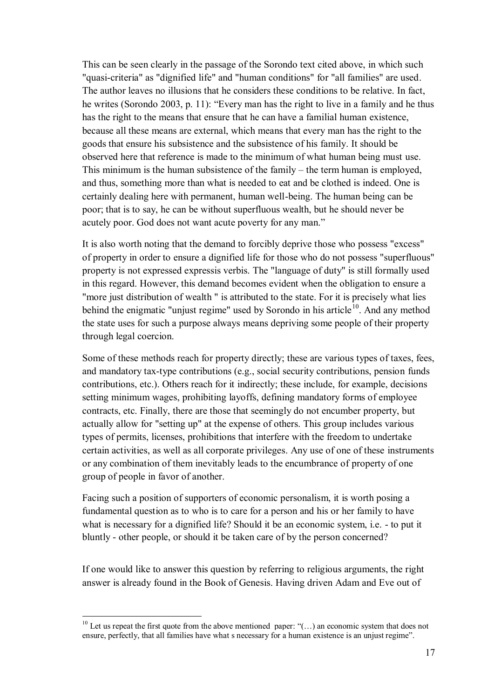This can be seen clearly in the passage of the Sorondo text cited above, in which such "quasi-criteria" as "dignified life" and "human conditions" for "all families" are used. The author leaves no illusions that he considers these conditions to be relative. In fact, he writes (Sorondo 2003, p. 11): "Every man has the right to live in a family and he thus has the right to the means that ensure that he can have a familial human existence, because all these means are external, which means that every man has the right to the goods that ensure his subsistence and the subsistence of his family. It should be observed here that reference is made to the minimum of what human being must use. This minimum is the human subsistence of the family – the term human is employed, and thus, something more than what is needed to eat and be clothed is indeed. One is certainly dealing here with permanent, human well-being. The human being can be poor; that is to say, he can be without superfluous wealth, but he should never be acutely poor. God does not want acute poverty for any man."

It is also worth noting that the demand to forcibly deprive those who possess "excess" of property in order to ensure a dignified life for those who do not possess "superfluous" property is not expressed expressis verbis. The "language of duty" is still formally used in this regard. However, this demand becomes evident when the obligation to ensure a "more just distribution of wealth " is attributed to the state. For it is precisely what lies behind the enigmatic "unjust regime" used by Sorondo in his article<sup>10</sup>. And any method the state uses for such a purpose always means depriving some people of their property through legal coercion.

Some of these methods reach for property directly; these are various types of taxes, fees, and mandatory tax-type contributions (e.g., social security contributions, pension funds contributions, etc.). Others reach for it indirectly; these include, for example, decisions setting minimum wages, prohibiting layoffs, defining mandatory forms of employee contracts, etc. Finally, there are those that seemingly do not encumber property, but actually allow for "setting up" at the expense of others. This group includes various types of permits, licenses, prohibitions that interfere with the freedom to undertake certain activities, as well as all corporate privileges. Any use of one of these instruments or any combination of them inevitably leads to the encumbrance of property of one group of people in favor of another.

Facing such a position of supporters of economic personalism, it is worth posing a fundamental question as to who is to care for a person and his or her family to have what is necessary for a dignified life? Should it be an economic system, i.e. - to put it bluntly - other people, or should it be taken care of by the person concerned?

If one would like to answer this question by referring to religious arguments, the right answer is already found in the Book of Genesis. Having driven Adam and Eve out of

<sup>&</sup>lt;sup>10</sup> Let us repeat the first quote from the above mentioned paper: "(...) an economic system that does not ensure, perfectly, that all families have what s necessary for a human existence is an unjust regime".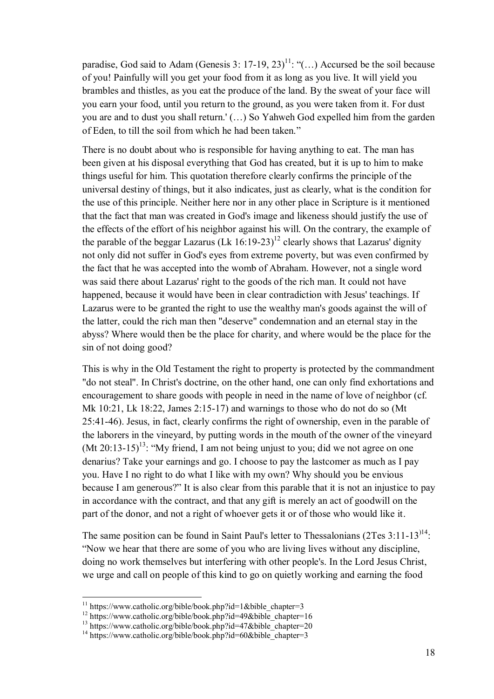paradise, God said to Adam (Genesis 3: 17-19, 23)<sup>11</sup>: "(...) Accursed be the soil because of you! Painfully will you get your food from it as long as you live. It will yield you brambles and thistles, as you eat the produce of the land. By the sweat of your face will you earn your food, until you return to the ground, as you were taken from it. For dust you are and to dust you shall return.' (…) So Yahweh God expelled him from the garden of Eden, to till the soil from which he had been taken."

There is no doubt about who is responsible for having anything to eat. The man has been given at his disposal everything that God has created, but it is up to him to make things useful for him. This quotation therefore clearly confirms the principle of the universal destiny of things, but it also indicates, just as clearly, what is the condition for the use of this principle. Neither here nor in any other place in Scripture is it mentioned that the fact that man was created in God's image and likeness should justify the use of the effects of the effort of his neighbor against his will. On the contrary, the example of the parable of the beggar Lazarus  $(Lk 16:19-23)^{12}$  clearly shows that Lazarus' dignity not only did not suffer in God's eyes from extreme poverty, but was even confirmed by the fact that he was accepted into the womb of Abraham. However, not a single word was said there about Lazarus' right to the goods of the rich man. It could not have happened, because it would have been in clear contradiction with Jesus' teachings. If Lazarus were to be granted the right to use the wealthy man's goods against the will of the latter, could the rich man then "deserve" condemnation and an eternal stay in the abyss? Where would then be the place for charity, and where would be the place for the sin of not doing good?

This is why in the Old Testament the right to property is protected by the commandment "do not steal". In Christ's doctrine, on the other hand, one can only find exhortations and encouragement to share goods with people in need in the name of love of neighbor (cf. Mk 10:21, Lk 18:22, James 2:15-17) and warnings to those who do not do so (Mt 25:41-46). Jesus, in fact, clearly confirms the right of ownership, even in the parable of the laborers in the vineyard, by putting words in the mouth of the owner of the vineyard (Mt 20:13-15)<sup>13</sup>: "My friend, I am not being unjust to you; did we not agree on one denarius? Take your earnings and go. I choose to pay the lastcomer as much as I pay you. Have I no right to do what I like with my own? Why should you be envious because I am generous?" It is also clear from this parable that it is not an injustice to pay in accordance with the contract, and that any gift is merely an act of goodwill on the part of the donor, and not a right of whoever gets it or of those who would like it.

The same position can be found in Saint Paul's letter to Thessalonians  $(2Tes 3:11-13)$ <sup>14</sup>: "Now we hear that there are some of you who are living lives without any discipline, doing no work themselves but interfering with other people's. In the Lord Jesus Christ, we urge and call on people of this kind to go on quietly working and earning the food

 $11$  https://www.catholic.org/bible/book.php?id=1&bible\_chapter=3

<sup>&</sup>lt;sup>12</sup> https://www.catholic.org/bible/book.php?id=49&bible\_chapter=16

<sup>&</sup>lt;sup>13</sup> https://www.catholic.org/bible/book.php?id=47&bible\_chapter=20

<sup>&</sup>lt;sup>14</sup> https://www.catholic.org/bible/book.php?id=60&bible\_chapter=3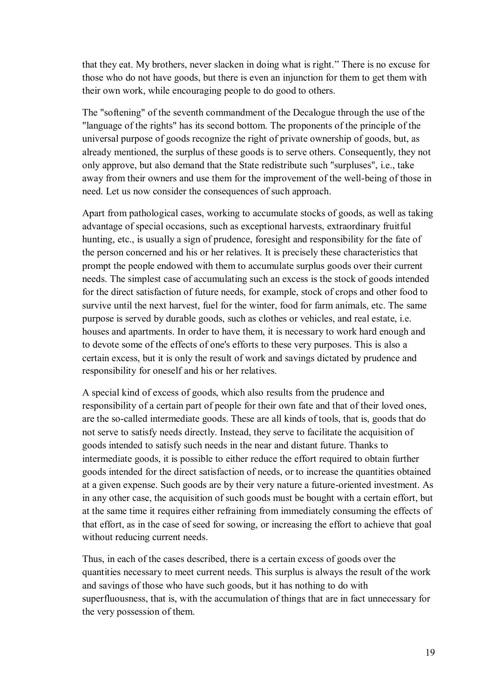that they eat. My brothers, never slacken in doing what is right." There is no excuse for those who do not have goods, but there is even an injunction for them to get them with their own work, while encouraging people to do good to others.

The "softening" of the seventh commandment of the Decalogue through the use of the "language of the rights" has its second bottom. The proponents of the principle of the universal purpose of goods recognize the right of private ownership of goods, but, as already mentioned, the surplus of these goods is to serve others. Consequently, they not only approve, but also demand that the State redistribute such "surpluses", i.e., take away from their owners and use them for the improvement of the well-being of those in need. Let us now consider the consequences of such approach.

Apart from pathological cases, working to accumulate stocks of goods, as well as taking advantage of special occasions, such as exceptional harvests, extraordinary fruitful hunting, etc., is usually a sign of prudence, foresight and responsibility for the fate of the person concerned and his or her relatives. It is precisely these characteristics that prompt the people endowed with them to accumulate surplus goods over their current needs. The simplest case of accumulating such an excess is the stock of goods intended for the direct satisfaction of future needs, for example, stock of crops and other food to survive until the next harvest, fuel for the winter, food for farm animals, etc. The same purpose is served by durable goods, such as clothes or vehicles, and real estate, i.e. houses and apartments. In order to have them, it is necessary to work hard enough and to devote some of the effects of one's efforts to these very purposes. This is also a certain excess, but it is only the result of work and savings dictated by prudence and responsibility for oneself and his or her relatives.

A special kind of excess of goods, which also results from the prudence and responsibility of a certain part of people for their own fate and that of their loved ones, are the so-called intermediate goods. These are all kinds of tools, that is, goods that do not serve to satisfy needs directly. Instead, they serve to facilitate the acquisition of goods intended to satisfy such needs in the near and distant future. Thanks to intermediate goods, it is possible to either reduce the effort required to obtain further goods intended for the direct satisfaction of needs, or to increase the quantities obtained at a given expense. Such goods are by their very nature a future-oriented investment. As in any other case, the acquisition of such goods must be bought with a certain effort, but at the same time it requires either refraining from immediately consuming the effects of that effort, as in the case of seed for sowing, or increasing the effort to achieve that goal without reducing current needs.

Thus, in each of the cases described, there is a certain excess of goods over the quantities necessary to meet current needs. This surplus is always the result of the work and savings of those who have such goods, but it has nothing to do with superfluousness, that is, with the accumulation of things that are in fact unnecessary for the very possession of them.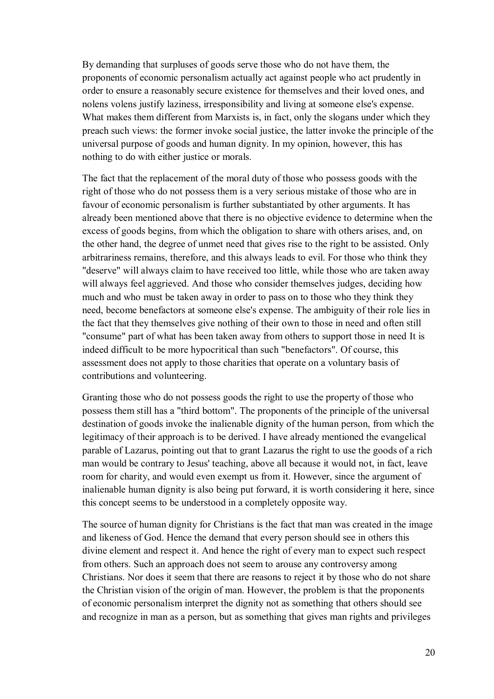By demanding that surpluses of goods serve those who do not have them, the proponents of economic personalism actually act against people who act prudently in order to ensure a reasonably secure existence for themselves and their loved ones, and nolens volens justify laziness, irresponsibility and living at someone else's expense. What makes them different from Marxists is, in fact, only the slogans under which they preach such views: the former invoke social justice, the latter invoke the principle of the universal purpose of goods and human dignity. In my opinion, however, this has nothing to do with either justice or morals.

The fact that the replacement of the moral duty of those who possess goods with the right of those who do not possess them is a very serious mistake of those who are in favour of economic personalism is further substantiated by other arguments. It has already been mentioned above that there is no objective evidence to determine when the excess of goods begins, from which the obligation to share with others arises, and, on the other hand, the degree of unmet need that gives rise to the right to be assisted. Only arbitrariness remains, therefore, and this always leads to evil. For those who think they "deserve" will always claim to have received too little, while those who are taken away will always feel aggrieved. And those who consider themselves judges, deciding how much and who must be taken away in order to pass on to those who they think they need, become benefactors at someone else's expense. The ambiguity of their role lies in the fact that they themselves give nothing of their own to those in need and often still "consume" part of what has been taken away from others to support those in need It is indeed difficult to be more hypocritical than such "benefactors". Of course, this assessment does not apply to those charities that operate on a voluntary basis of contributions and volunteering.

Granting those who do not possess goods the right to use the property of those who possess them still has a "third bottom". The proponents of the principle of the universal destination of goods invoke the inalienable dignity of the human person, from which the legitimacy of their approach is to be derived. I have already mentioned the evangelical parable of Lazarus, pointing out that to grant Lazarus the right to use the goods of a rich man would be contrary to Jesus' teaching, above all because it would not, in fact, leave room for charity, and would even exempt us from it. However, since the argument of inalienable human dignity is also being put forward, it is worth considering it here, since this concept seems to be understood in a completely opposite way.

The source of human dignity for Christians is the fact that man was created in the image and likeness of God. Hence the demand that every person should see in others this divine element and respect it. And hence the right of every man to expect such respect from others. Such an approach does not seem to arouse any controversy among Christians. Nor does it seem that there are reasons to reject it by those who do not share the Christian vision of the origin of man. However, the problem is that the proponents of economic personalism interpret the dignity not as something that others should see and recognize in man as a person, but as something that gives man rights and privileges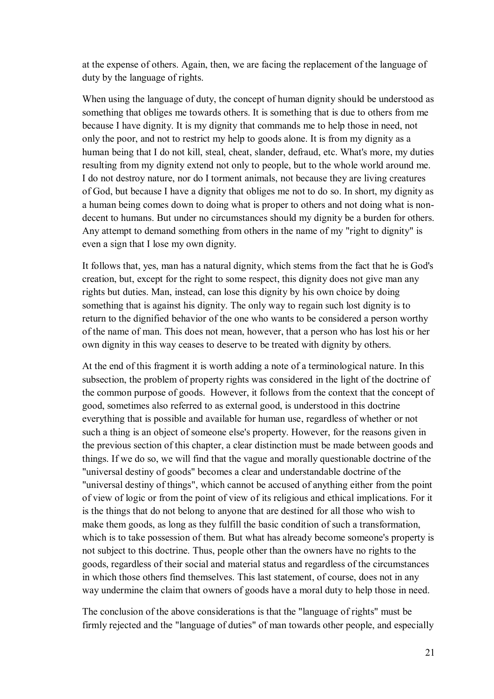at the expense of others. Again, then, we are facing the replacement of the language of duty by the language of rights.

When using the language of duty, the concept of human dignity should be understood as something that obliges me towards others. It is something that is due to others from me because I have dignity. It is my dignity that commands me to help those in need, not only the poor, and not to restrict my help to goods alone. It is from my dignity as a human being that I do not kill, steal, cheat, slander, defraud, etc. What's more, my duties resulting from my dignity extend not only to people, but to the whole world around me. I do not destroy nature, nor do I torment animals, not because they are living creatures of God, but because I have a dignity that obliges me not to do so. In short, my dignity as a human being comes down to doing what is proper to others and not doing what is nondecent to humans. But under no circumstances should my dignity be a burden for others. Any attempt to demand something from others in the name of my "right to dignity" is even a sign that I lose my own dignity.

It follows that, yes, man has a natural dignity, which stems from the fact that he is God's creation, but, except for the right to some respect, this dignity does not give man any rights but duties. Man, instead, can lose this dignity by his own choice by doing something that is against his dignity. The only way to regain such lost dignity is to return to the dignified behavior of the one who wants to be considered a person worthy of the name of man. This does not mean, however, that a person who has lost his or her own dignity in this way ceases to deserve to be treated with dignity by others.

At the end of this fragment it is worth adding a note of a terminological nature. In this subsection, the problem of property rights was considered in the light of the doctrine of the common purpose of goods. However, it follows from the context that the concept of good, sometimes also referred to as external good, is understood in this doctrine everything that is possible and available for human use, regardless of whether or not such a thing is an object of someone else's property. However, for the reasons given in the previous section of this chapter, a clear distinction must be made between goods and things. If we do so, we will find that the vague and morally questionable doctrine of the "universal destiny of goods" becomes a clear and understandable doctrine of the "universal destiny of things", which cannot be accused of anything either from the point of view of logic or from the point of view of its religious and ethical implications. For it is the things that do not belong to anyone that are destined for all those who wish to make them goods, as long as they fulfill the basic condition of such a transformation, which is to take possession of them. But what has already become someone's property is not subject to this doctrine. Thus, people other than the owners have no rights to the goods, regardless of their social and material status and regardless of the circumstances in which those others find themselves. This last statement, of course, does not in any way undermine the claim that owners of goods have a moral duty to help those in need.

The conclusion of the above considerations is that the "language of rights" must be firmly rejected and the "language of duties" of man towards other people, and especially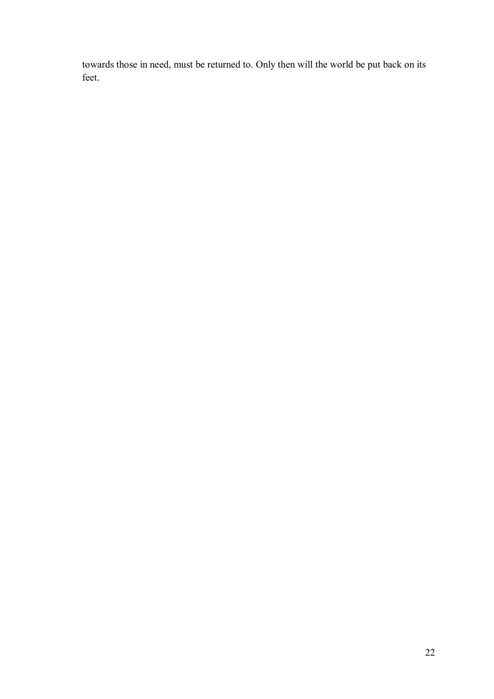towards those in need, must be returned to. Only then will the world be put back on its feet.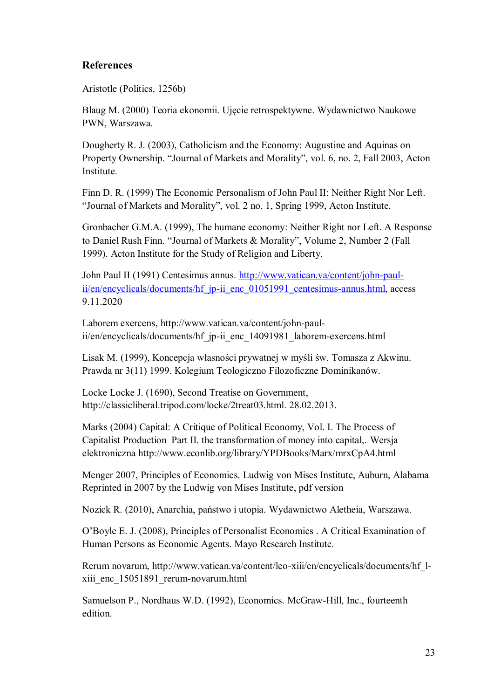## **References**

Aristotle (Politics, 1256b)

Blaug M. (2000) Teoria ekonomii. Ujęcie retrospektywne. Wydawnictwo Naukowe PWN, Warszawa.

Dougherty R. J. (2003), Catholicism and the Economy: Augustine and Aquinas on Property Ownership. "Journal of Markets and Morality", vol. 6, no. 2, Fall 2003, Acton Institute.

Finn D. R. (1999) The Economic Personalism of John Paul II: Neither Right Nor Left. "Journal of Markets and Morality", vol. 2 no. 1, Spring 1999, Acton Institute.

Gronbacher G.M.A. (1999), The humane economy: Neither Right nor Left. A Response to Daniel Rush Finn. "Journal of Markets & Morality", Volume 2, Number 2 (Fall 1999). Acton Institute for the Study of Religion and Liberty.

John Paul II (1991) Centesimus annus. [http://www.vatican.va/content/john-paul](http://www.vatican.va/content/john-paul-ii/en/encyclicals/documents/hf_jp-ii_enc_01051991_centesimus-annus.html)[ii/en/encyclicals/documents/hf\\_jp-ii\\_enc\\_01051991\\_centesimus-annus.html,](http://www.vatican.va/content/john-paul-ii/en/encyclicals/documents/hf_jp-ii_enc_01051991_centesimus-annus.html) access 9.11.2020

Laborem exercens, [http://www.vatican.va/content/john-paul](http://www.vatican.va/content/john-paul-ii/en/encyclicals/documents/hf_jp-ii_enc_14091981_laborem-exercens.html)[ii/en/encyclicals/documents/hf\\_jp-ii\\_enc\\_14091981\\_laborem-exercens.html](http://www.vatican.va/content/john-paul-ii/en/encyclicals/documents/hf_jp-ii_enc_14091981_laborem-exercens.html)

Lisak M. (1999), Koncepcja własności prywatnej w myśli św. Tomasza z Akwinu. Prawda nr 3(11) 1999. Kolegium Teologiczno Filozoficzne Dominikanów.

Locke Locke J. (1690), Second Treatise on Government, [http://classicliberal.tripod.com/locke/2treat03.html. 28.02.2013.](http://classicliberal.tripod.com/locke/2treat03.html.%2028.02.2013)

Marks (2004) Capital: A Critique of Political Economy, Vol. I. The Process of Capitalist Production Part II. the transformation of money into capital,. Wersja elektroniczna http://www.econlib.org/library/YPDBooks/Marx/mrxCpA4.html

Menger 2007, Principles of Economics. Ludwig von Mises Institute, Auburn, Alabama Reprinted in 2007 by the Ludwig von Mises Institute, pdf version

Nozick R. (2010), Anarchia, państwo i utopia. Wydawnictwo Aletheia, Warszawa.

O'Boyle E. J. (2008), Principles of Personalist Economics . A Critical Examination of Human Persons as Economic Agents. Mayo Research Institute.

Rerum novarum, http://www.vatican.va/content/leo-xiii/en/encyclicals/documents/hf\_lxiii enc 15051891 rerum-novarum.html

Samuelson P., Nordhaus W.D. (1992), Economics. McGraw-Hill, Inc., fourteenth edition.